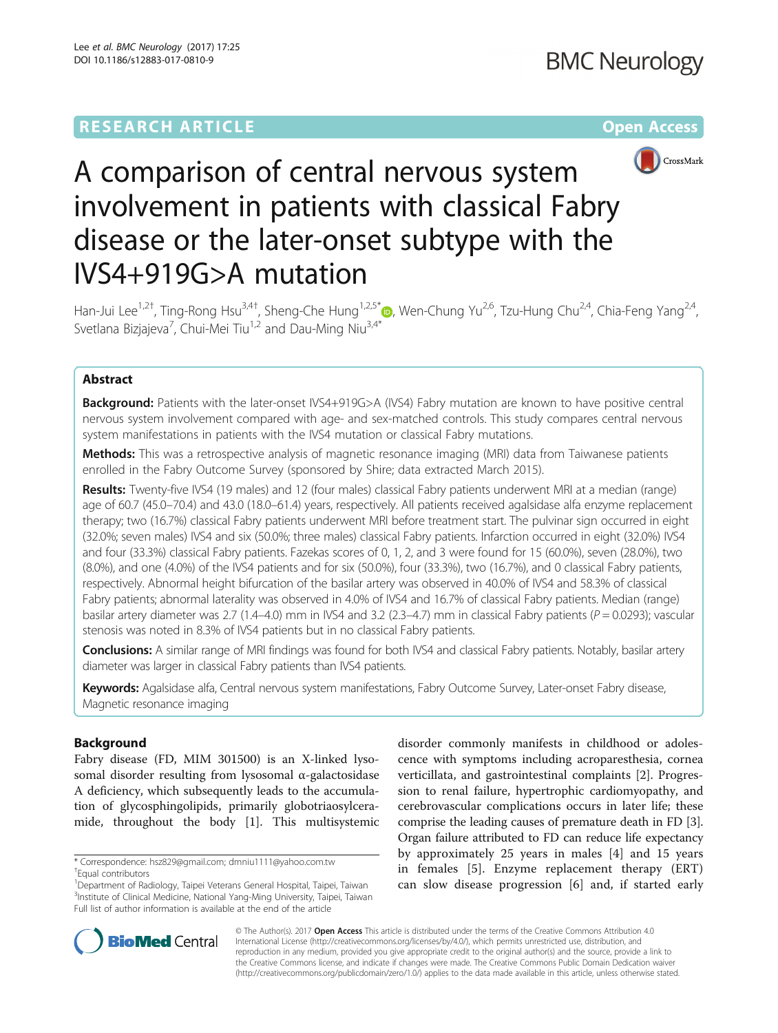## **RESEARCH ARTICLE External Structure Community Community Community Community Community Community Community Community**



# A comparison of central nervous system involvement in patients with classical Fabry disease or the later-onset subtype with the IVS4+919G>A mutation

Han-Jui Lee<sup>1[,](http://orcid.org/0000-0001-6288-3556)2†</sup>, Ting-Rong Hsu<sup>3,4†</sup>, Sheng-Che Hung<sup>1,2,5\*</sup>®, Wen-Chung Yu<sup>2,6</sup>, Tzu-Hung Chu<sup>2,4</sup>, Chia-Feng Yang<sup>2,4</sup>, Svetlana Bizjajeva<sup>7</sup>, Chui-Mei Tiu<sup>1,2</sup> and Dau-Ming Niu<sup>3,4\*</sup>

## Abstract

**Background:** Patients with the later-onset IVS4+919G>A (IVS4) Fabry mutation are known to have positive central nervous system involvement compared with age- and sex-matched controls. This study compares central nervous system manifestations in patients with the IVS4 mutation or classical Fabry mutations.

Methods: This was a retrospective analysis of magnetic resonance imaging (MRI) data from Taiwanese patients enrolled in the Fabry Outcome Survey (sponsored by Shire; data extracted March 2015).

Results: Twenty-five IVS4 (19 males) and 12 (four males) classical Fabry patients underwent MRI at a median (range) age of 60.7 (45.0–70.4) and 43.0 (18.0–61.4) years, respectively. All patients received agalsidase alfa enzyme replacement therapy; two (16.7%) classical Fabry patients underwent MRI before treatment start. The pulvinar sign occurred in eight (32.0%; seven males) IVS4 and six (50.0%; three males) classical Fabry patients. Infarction occurred in eight (32.0%) IVS4 and four (33.3%) classical Fabry patients. Fazekas scores of 0, 1, 2, and 3 were found for 15 (60.0%), seven (28.0%), two (8.0%), and one (4.0%) of the IVS4 patients and for six (50.0%), four (33.3%), two (16.7%), and 0 classical Fabry patients, respectively. Abnormal height bifurcation of the basilar artery was observed in 40.0% of IVS4 and 58.3% of classical Fabry patients; abnormal laterality was observed in 4.0% of IVS4 and 16.7% of classical Fabry patients. Median (range) basilar artery diameter was 2.7 (1.4–4.0) mm in IVS4 and 3.2 (2.3–4.7) mm in classical Fabry patients ( $P = 0.0293$ ); vascular stenosis was noted in 8.3% of IVS4 patients but in no classical Fabry patients.

Conclusions: A similar range of MRI findings was found for both IVS4 and classical Fabry patients. Notably, basilar artery diameter was larger in classical Fabry patients than IVS4 patients.

Keywords: Agalsidase alfa, Central nervous system manifestations, Fabry Outcome Survey, Later-onset Fabry disease, Magnetic resonance imaging

## Background

Fabry disease (FD, MIM 301500) is an X-linked lysosomal disorder resulting from lysosomal α-galactosidase A deficiency, which subsequently leads to the accumulation of glycosphingolipids, primarily globotriaosylceramide, throughout the body [[1\]](#page-7-0). This multisystemic disorder commonly manifests in childhood or adolescence with symptoms including acroparesthesia, cornea verticillata, and gastrointestinal complaints [[2\]](#page-7-0). Progression to renal failure, hypertrophic cardiomyopathy, and cerebrovascular complications occurs in later life; these comprise the leading causes of premature death in FD [[3](#page-7-0)]. Organ failure attributed to FD can reduce life expectancy by approximately 25 years in males [\[4](#page-7-0)] and 15 years in females [[5\]](#page-7-0). Enzyme replacement therapy (ERT) can slow disease progression [[6\]](#page-7-0) and, if started early



© The Author(s). 2017 **Open Access** This article is distributed under the terms of the Creative Commons Attribution 4.0 International License [\(http://creativecommons.org/licenses/by/4.0/](http://creativecommons.org/licenses/by/4.0/)), which permits unrestricted use, distribution, and reproduction in any medium, provided you give appropriate credit to the original author(s) and the source, provide a link to the Creative Commons license, and indicate if changes were made. The Creative Commons Public Domain Dedication waiver [\(http://creativecommons.org/publicdomain/zero/1.0/](http://creativecommons.org/publicdomain/zero/1.0/)) applies to the data made available in this article, unless otherwise stated.

<sup>\*</sup> Correspondence: [hsz829@gmail.com;](mailto:hsz829@gmail.com) [dmniu1111@yahoo.com.tw](mailto:dmniu1111@yahoo.com.tw) †

Equal contributors

<sup>&</sup>lt;sup>1</sup> Department of Radiology, Taipei Veterans General Hospital, Taipei, Taiwan <sup>3</sup>Institute of Clinical Medicine, National Yang-Ming University, Taipei, Taiwan Full list of author information is available at the end of the article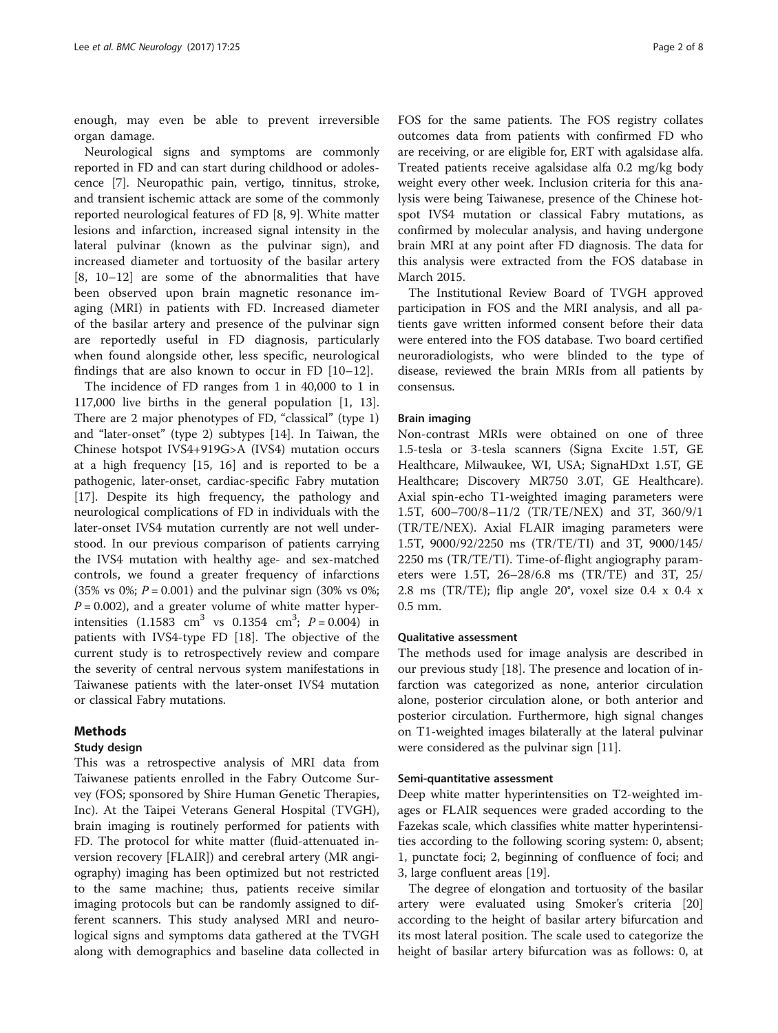enough, may even be able to prevent irreversible organ damage.

Neurological signs and symptoms are commonly reported in FD and can start during childhood or adolescence [[7\]](#page-7-0). Neuropathic pain, vertigo, tinnitus, stroke, and transient ischemic attack are some of the commonly reported neurological features of FD [\[8, 9\]](#page-7-0). White matter lesions and infarction, increased signal intensity in the lateral pulvinar (known as the pulvinar sign), and increased diameter and tortuosity of the basilar artery [[8, 10](#page-7-0)–[12](#page-7-0)] are some of the abnormalities that have been observed upon brain magnetic resonance imaging (MRI) in patients with FD. Increased diameter of the basilar artery and presence of the pulvinar sign are reportedly useful in FD diagnosis, particularly when found alongside other, less specific, neurological findings that are also known to occur in FD [\[10](#page-7-0)–[12](#page-7-0)].

The incidence of FD ranges from 1 in 40,000 to 1 in 117,000 live births in the general population [[1, 13](#page-7-0)]. There are 2 major phenotypes of FD, "classical" (type 1) and "later-onset" (type 2) subtypes [[14\]](#page-7-0). In Taiwan, the Chinese hotspot IVS4+919G>A (IVS4) mutation occurs at a high frequency [[15](#page-7-0), [16\]](#page-7-0) and is reported to be a pathogenic, later-onset, cardiac-specific Fabry mutation [[17\]](#page-7-0). Despite its high frequency, the pathology and neurological complications of FD in individuals with the later-onset IVS4 mutation currently are not well understood. In our previous comparison of patients carrying the IVS4 mutation with healthy age- and sex-matched controls, we found a greater frequency of infarctions (35% vs 0%;  $P = 0.001$ ) and the pulvinar sign (30% vs 0%;  $P = 0.002$ ), and a greater volume of white matter hyperintensities  $(1.1583 \text{ cm}^3 \text{ vs } 0.1354 \text{ cm}^3; P = 0.004)$  in patients with IVS4-type FD [[18](#page-7-0)]. The objective of the current study is to retrospectively review and compare the severity of central nervous system manifestations in Taiwanese patients with the later-onset IVS4 mutation or classical Fabry mutations.

## Methods

## Study design

This was a retrospective analysis of MRI data from Taiwanese patients enrolled in the Fabry Outcome Survey (FOS; sponsored by Shire Human Genetic Therapies, Inc). At the Taipei Veterans General Hospital (TVGH), brain imaging is routinely performed for patients with FD. The protocol for white matter (fluid-attenuated inversion recovery [FLAIR]) and cerebral artery (MR angiography) imaging has been optimized but not restricted to the same machine; thus, patients receive similar imaging protocols but can be randomly assigned to different scanners. This study analysed MRI and neurological signs and symptoms data gathered at the TVGH along with demographics and baseline data collected in FOS for the same patients. The FOS registry collates outcomes data from patients with confirmed FD who are receiving, or are eligible for, ERT with agalsidase alfa. Treated patients receive agalsidase alfa 0.2 mg/kg body weight every other week. Inclusion criteria for this analysis were being Taiwanese, presence of the Chinese hotspot IVS4 mutation or classical Fabry mutations, as confirmed by molecular analysis, and having undergone brain MRI at any point after FD diagnosis. The data for this analysis were extracted from the FOS database in March 2015.

The Institutional Review Board of TVGH approved participation in FOS and the MRI analysis, and all patients gave written informed consent before their data were entered into the FOS database. Two board certified neuroradiologists, who were blinded to the type of disease, reviewed the brain MRIs from all patients by consensus.

## Brain imaging

Non-contrast MRIs were obtained on one of three 1.5-tesla or 3-tesla scanners (Signa Excite 1.5T, GE Healthcare, Milwaukee, WI, USA; SignaHDxt 1.5T, GE Healthcare; Discovery MR750 3.0T, GE Healthcare). Axial spin-echo T1-weighted imaging parameters were 1.5T, 600–700/8–11/2 (TR/TE/NEX) and 3T, 360/9/1 (TR/TE/NEX). Axial FLAIR imaging parameters were 1.5T, 9000/92/2250 ms (TR/TE/TI) and 3T, 9000/145/ 2250 ms (TR/TE/TI). Time-of-flight angiography parameters were 1.5T, 26–28/6.8 ms (TR/TE) and 3T, 25/ 2.8 ms (TR/TE); flip angle 20°, voxel size 0.4 x 0.4 x 0.5 mm.

#### Qualitative assessment

The methods used for image analysis are described in our previous study [\[18\]](#page-7-0). The presence and location of infarction was categorized as none, anterior circulation alone, posterior circulation alone, or both anterior and posterior circulation. Furthermore, high signal changes on T1-weighted images bilaterally at the lateral pulvinar were considered as the pulvinar sign [\[11](#page-7-0)].

#### Semi-quantitative assessment

Deep white matter hyperintensities on T2-weighted images or FLAIR sequences were graded according to the Fazekas scale, which classifies white matter hyperintensities according to the following scoring system: 0, absent; 1, punctate foci; 2, beginning of confluence of foci; and 3, large confluent areas [[19\]](#page-7-0).

The degree of elongation and tortuosity of the basilar artery were evaluated using Smoker's criteria [[20](#page-7-0)] according to the height of basilar artery bifurcation and its most lateral position. The scale used to categorize the height of basilar artery bifurcation was as follows: 0, at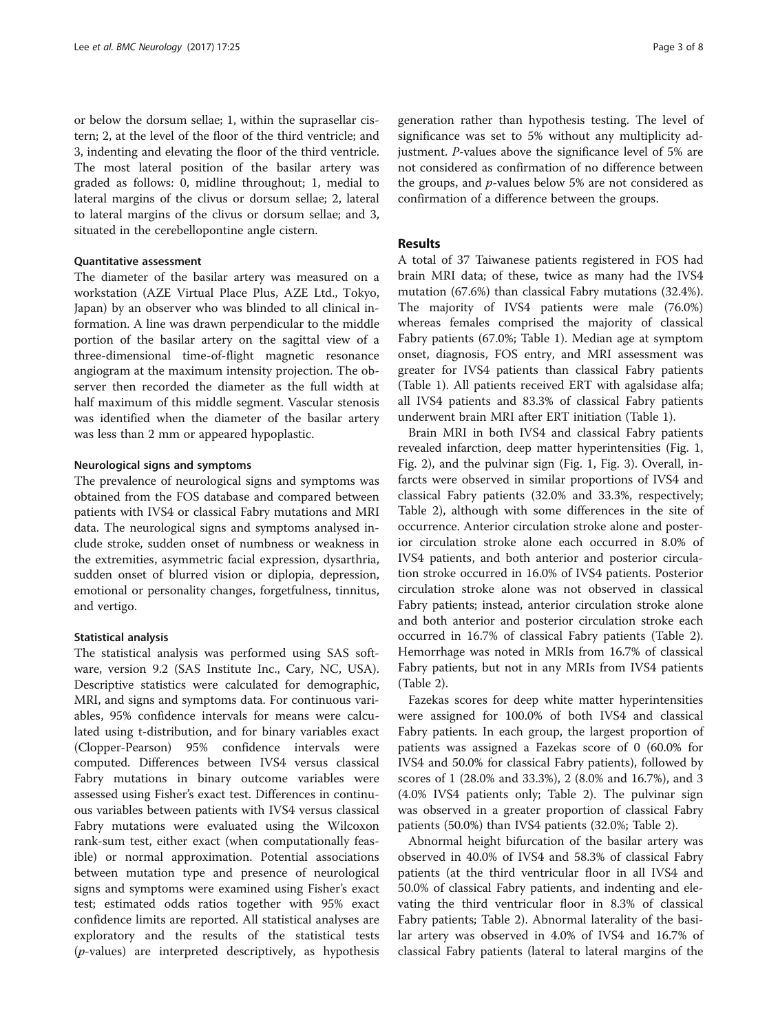or below the dorsum sellae; 1, within the suprasellar cistern; 2, at the level of the floor of the third ventricle; and 3, indenting and elevating the floor of the third ventricle. The most lateral position of the basilar artery was graded as follows: 0, midline throughout; 1, medial to lateral margins of the clivus or dorsum sellae; 2, lateral to lateral margins of the clivus or dorsum sellae; and 3, situated in the cerebellopontine angle cistern.

## Quantitative assessment

The diameter of the basilar artery was measured on a workstation (AZE Virtual Place Plus, AZE Ltd., Tokyo, Japan) by an observer who was blinded to all clinical information. A line was drawn perpendicular to the middle portion of the basilar artery on the sagittal view of a three-dimensional time-of-flight magnetic resonance angiogram at the maximum intensity projection. The observer then recorded the diameter as the full width at half maximum of this middle segment. Vascular stenosis was identified when the diameter of the basilar artery was less than 2 mm or appeared hypoplastic.

## Neurological signs and symptoms

The prevalence of neurological signs and symptoms was obtained from the FOS database and compared between patients with IVS4 or classical Fabry mutations and MRI data. The neurological signs and symptoms analysed include stroke, sudden onset of numbness or weakness in the extremities, asymmetric facial expression, dysarthria, sudden onset of blurred vision or diplopia, depression, emotional or personality changes, forgetfulness, tinnitus, and vertigo.

## Statistical analysis

The statistical analysis was performed using SAS software, version 9.2 (SAS Institute Inc., Cary, NC, USA). Descriptive statistics were calculated for demographic, MRI, and signs and symptoms data. For continuous variables, 95% confidence intervals for means were calculated using t-distribution, and for binary variables exact (Clopper-Pearson) 95% confidence intervals were computed. Differences between IVS4 versus classical Fabry mutations in binary outcome variables were assessed using Fisher's exact test. Differences in continuous variables between patients with IVS4 versus classical Fabry mutations were evaluated using the Wilcoxon rank-sum test, either exact (when computationally feasible) or normal approximation. Potential associations between mutation type and presence of neurological signs and symptoms were examined using Fisher's exact test; estimated odds ratios together with 95% exact confidence limits are reported. All statistical analyses are exploratory and the results of the statistical tests (p-values) are interpreted descriptively, as hypothesis generation rather than hypothesis testing. The level of significance was set to 5% without any multiplicity adjustment. P-values above the significance level of 5% are not considered as confirmation of no difference between the groups, and  $p$ -values below 5% are not considered as confirmation of a difference between the groups.

## Results

A total of 37 Taiwanese patients registered in FOS had brain MRI data; of these, twice as many had the IVS4 mutation (67.6%) than classical Fabry mutations (32.4%). The majority of IVS4 patients were male (76.0%) whereas females comprised the majority of classical Fabry patients (67.0%; Table [1](#page-3-0)). Median age at symptom onset, diagnosis, FOS entry, and MRI assessment was greater for IVS4 patients than classical Fabry patients (Table [1](#page-3-0)). All patients received ERT with agalsidase alfa; all IVS4 patients and 83.3% of classical Fabry patients underwent brain MRI after ERT initiation (Table [1](#page-3-0)).

Brain MRI in both IVS4 and classical Fabry patients revealed infarction, deep matter hyperintensities (Fig. [1](#page-3-0), Fig. [2\)](#page-4-0), and the pulvinar sign (Fig. [1](#page-3-0), Fig. [3\)](#page-4-0). Overall, infarcts were observed in similar proportions of IVS4 and classical Fabry patients (32.0% and 33.3%, respectively; Table [2](#page-5-0)), although with some differences in the site of occurrence. Anterior circulation stroke alone and posterior circulation stroke alone each occurred in 8.0% of IVS4 patients, and both anterior and posterior circulation stroke occurred in 16.0% of IVS4 patients. Posterior circulation stroke alone was not observed in classical Fabry patients; instead, anterior circulation stroke alone and both anterior and posterior circulation stroke each occurred in 16.7% of classical Fabry patients (Table [2](#page-5-0)). Hemorrhage was noted in MRIs from 16.7% of classical Fabry patients, but not in any MRIs from IVS4 patients (Table [2\)](#page-5-0).

Fazekas scores for deep white matter hyperintensities were assigned for 100.0% of both IVS4 and classical Fabry patients. In each group, the largest proportion of patients was assigned a Fazekas score of 0 (60.0% for IVS4 and 50.0% for classical Fabry patients), followed by scores of 1 (28.0% and 33.3%), 2 (8.0% and 16.7%), and 3 (4.0% IVS4 patients only; Table [2](#page-5-0)). The pulvinar sign was observed in a greater proportion of classical Fabry patients (50.0%) than IVS4 patients (32.0%; Table [2](#page-5-0)).

Abnormal height bifurcation of the basilar artery was observed in 40.0% of IVS4 and 58.3% of classical Fabry patients (at the third ventricular floor in all IVS4 and 50.0% of classical Fabry patients, and indenting and elevating the third ventricular floor in 8.3% of classical Fabry patients; Table [2\)](#page-5-0). Abnormal laterality of the basilar artery was observed in 4.0% of IVS4 and 16.7% of classical Fabry patients (lateral to lateral margins of the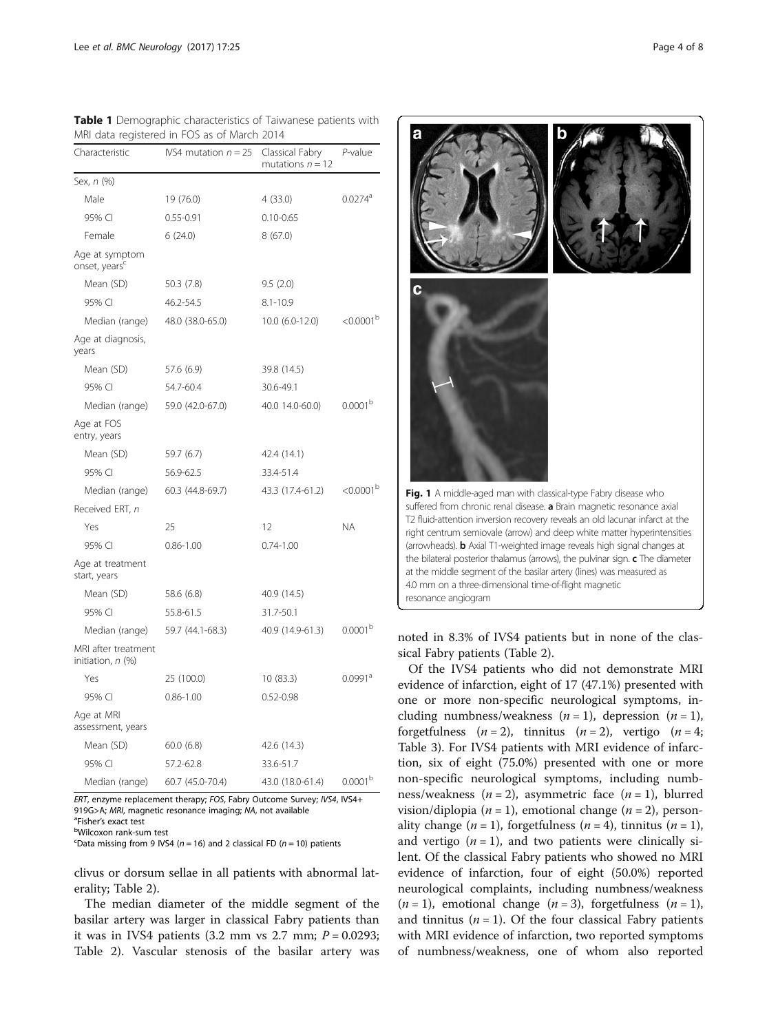| Characteristic                              | IVS4 mutation $n = 25$ | Classical Fabry<br>mutations $n = 12$ | P-value               |  |
|---------------------------------------------|------------------------|---------------------------------------|-----------------------|--|
| Sex, n (%)                                  |                        |                                       |                       |  |
| Male                                        | 19 (76.0)              | 4 (33.0)                              | $0.0274$ <sup>a</sup> |  |
| 95% CI                                      | $0.55 - 0.91$          | $0.10 - 0.65$                         |                       |  |
| Female                                      | 6(24.0)                | 8(67.0)                               |                       |  |
| Age at symptom<br>onset, years <sup>c</sup> |                        |                                       |                       |  |
| Mean (SD)                                   | 50.3 (7.8)             | 9.5(2.0)                              |                       |  |
| 95% CI                                      | 46.2-54.5              | $8.1 - 10.9$                          |                       |  |
| Median (range)                              | 48.0 (38.0-65.0)       | $10.0 (6.0 - 12.0)$                   | < 0.0001 <sup>b</sup> |  |
| Age at diagnosis,<br>years                  |                        |                                       |                       |  |
| Mean (SD)                                   | 57.6 (6.9)             | 39.8 (14.5)                           |                       |  |
| 95% CI                                      | 54.7-60.4              | 30.6-49.1                             |                       |  |
| Median (range)                              | 59.0 (42.0-67.0)       | 40.0 14.0-60.0)                       | 0.0001 <sup>b</sup>   |  |
| Age at FOS<br>entry, years                  |                        |                                       |                       |  |
| Mean (SD)                                   | 59.7 (6.7)             | 42.4 (14.1)                           |                       |  |
| 95% CI                                      | 56.9-62.5              | 33.4-51.4                             |                       |  |
| Median (range)                              | 60.3 (44.8-69.7)       | 43.3 (17.4-61.2)                      | $< 0.0001^{\rm b}$    |  |
| Received ERT, n                             |                        |                                       |                       |  |
| Yes                                         | 25                     | 12                                    | NA.                   |  |
| 95% CI                                      | $0.86 - 1.00$          | $0.74 - 1.00$                         |                       |  |
| Age at treatment<br>start, years            |                        |                                       |                       |  |
| Mean (SD)                                   | 58.6 (6.8)             | 40.9 (14.5)                           |                       |  |
| 95% CI                                      | 55.8-61.5              | 31.7-50.1                             |                       |  |
| Median (range)                              | 59.7 (44.1-68.3)       | 40.9 (14.9-61.3)                      | 0.0001 <sup>b</sup>   |  |
| MRI after treatment<br>initiation, n (%)    |                        |                                       |                       |  |
| Yes                                         | 25 (100.0)             | 10(83.3)                              | $0.0991$ <sup>a</sup> |  |
| 95% CI                                      | $0.86 - 1.00$          | $0.52 - 0.98$                         |                       |  |
| Age at MRI<br>assessment, years             |                        |                                       |                       |  |
| Mean (SD)                                   | 60.0(6.8)              | 42.6 (14.3)                           |                       |  |
| 95% CI                                      | 57.2-62.8              | 33.6-51.7                             |                       |  |
| Median (range)                              | 60.7 (45.0-70.4)       | 43.0 (18.0-61.4)                      | 0.0001 <sup>b</sup>   |  |

<span id="page-3-0"></span>Table 1 Demographic characteristics of Taiwanese patients with MRI data registered in FOS as of March 2014

ERT, enzyme replacement therapy; FOS, Fabry Outcome Survey; IVS4, IVS4+ 919G>A; MRI, magnetic resonance imaging; NA, not available

<sup>a</sup>Fisher's exact test

Wilcoxon rank-sum test

 $\text{C}_{\text{Data}}$  missing from 9 IVS4 (n = 16) and 2 classical FD (n = 10) patients

clivus or dorsum sellae in all patients with abnormal laterality; Table [2\)](#page-5-0).

The median diameter of the middle segment of the basilar artery was larger in classical Fabry patients than it was in IVS4 patients  $(3.2 \text{ mm} \text{ vs } 2.7 \text{ mm}; P = 0.0293;$ Table [2\)](#page-5-0). Vascular stenosis of the basilar artery was

Fig. 1 A middle-aged man with classical-type Fabry disease who suffered from chronic renal disease. **a** Brain magnetic resonance axial T2 fluid-attention inversion recovery reveals an old lacunar infarct at the right centrum semiovale (arrow) and deep white matter hyperintensities (arrowheads). **b** Axial T1-weighted image reveals high signal changes at the bilateral posterior thalamus (arrows), the pulvinar sign.  $c$  The diameter at the middle segment of the basilar artery (lines) was measured as 4.0 mm on a three-dimensional time-of-flight magnetic resonance angiogram

noted in 8.3% of IVS4 patients but in none of the classical Fabry patients (Table [2](#page-5-0)).

Of the IVS4 patients who did not demonstrate MRI evidence of infarction, eight of 17 (47.1%) presented with one or more non-specific neurological symptoms, including numbness/weakness  $(n = 1)$ , depression  $(n = 1)$ , forgetfulness  $(n = 2)$ , tinnitus  $(n = 2)$ , vertigo  $(n = 4;$ Table [3\)](#page-6-0). For IVS4 patients with MRI evidence of infarction, six of eight (75.0%) presented with one or more non-specific neurological symptoms, including numbness/weakness  $(n = 2)$ , asymmetric face  $(n = 1)$ , blurred vision/diplopia ( $n = 1$ ), emotional change ( $n = 2$ ), personality change  $(n = 1)$ , forgetfulness  $(n = 4)$ , tinnitus  $(n = 1)$ , and vertigo  $(n = 1)$ , and two patients were clinically silent. Of the classical Fabry patients who showed no MRI evidence of infarction, four of eight (50.0%) reported neurological complaints, including numbness/weakness  $(n = 1)$ , emotional change  $(n = 3)$ , forgetfulness  $(n = 1)$ , and tinnitus ( $n = 1$ ). Of the four classical Fabry patients with MRI evidence of infarction, two reported symptoms of numbness/weakness, one of whom also reported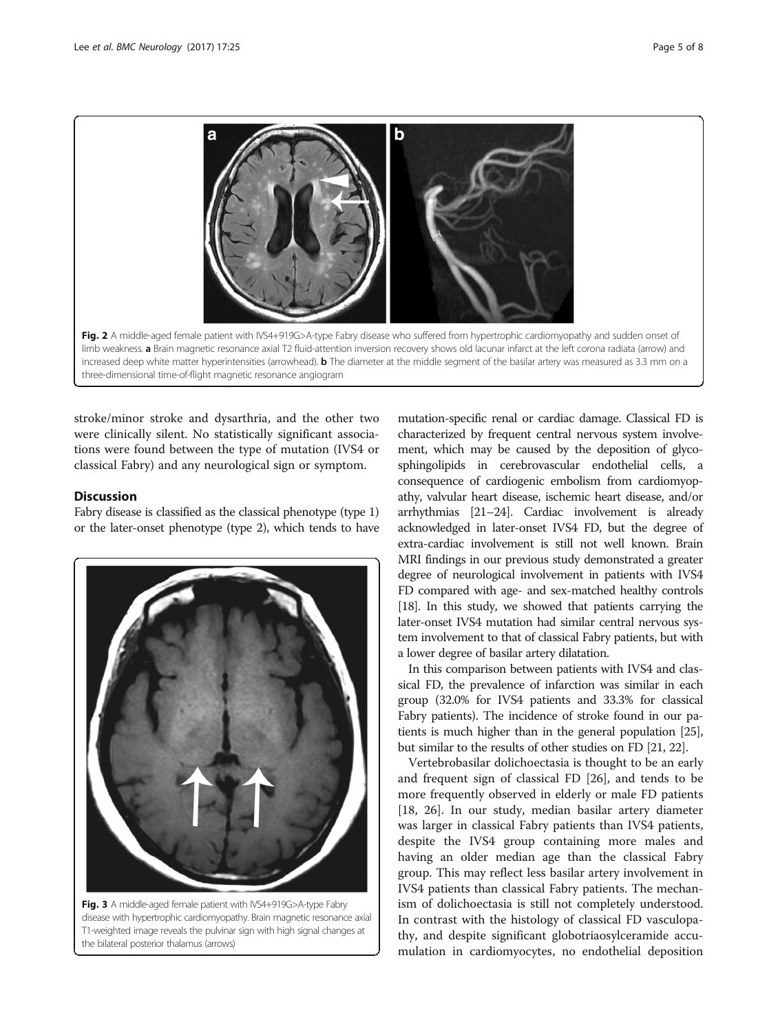<span id="page-4-0"></span>

stroke/minor stroke and dysarthria, and the other two were clinically silent. No statistically significant associations were found between the type of mutation (IVS4 or classical Fabry) and any neurological sign or symptom.

## **Discussion**

Fabry disease is classified as the classical phenotype (type 1) or the later-onset phenotype (type 2), which tends to have



Fig. 3 A middle-aged female patient with IVS4+919G>A-type Fabry disease with hypertrophic cardiomyopathy. Brain magnetic resonance axial T1-weighted image reveals the pulvinar sign with high signal changes at the bilateral posterior thalamus (arrows)

mutation-specific renal or cardiac damage. Classical FD is characterized by frequent central nervous system involvement, which may be caused by the deposition of glycosphingolipids in cerebrovascular endothelial cells, a consequence of cardiogenic embolism from cardiomyopathy, valvular heart disease, ischemic heart disease, and/or arrhythmias [\[21](#page-7-0)–[24\]](#page-7-0). Cardiac involvement is already acknowledged in later-onset IVS4 FD, but the degree of extra-cardiac involvement is still not well known. Brain MRI findings in our previous study demonstrated a greater degree of neurological involvement in patients with IVS4 FD compared with age- and sex-matched healthy controls [[18](#page-7-0)]. In this study, we showed that patients carrying the later-onset IVS4 mutation had similar central nervous system involvement to that of classical Fabry patients, but with a lower degree of basilar artery dilatation.

In this comparison between patients with IVS4 and classical FD, the prevalence of infarction was similar in each group (32.0% for IVS4 patients and 33.3% for classical Fabry patients). The incidence of stroke found in our patients is much higher than in the general population [\[25](#page-7-0)], but similar to the results of other studies on FD [\[21, 22\]](#page-7-0).

Vertebrobasilar dolichoectasia is thought to be an early and frequent sign of classical FD [[26\]](#page-7-0), and tends to be more frequently observed in elderly or male FD patients [[18, 26\]](#page-7-0). In our study, median basilar artery diameter was larger in classical Fabry patients than IVS4 patients, despite the IVS4 group containing more males and having an older median age than the classical Fabry group. This may reflect less basilar artery involvement in IVS4 patients than classical Fabry patients. The mechanism of dolichoectasia is still not completely understood. In contrast with the histology of classical FD vasculopathy, and despite significant globotriaosylceramide accumulation in cardiomyocytes, no endothelial deposition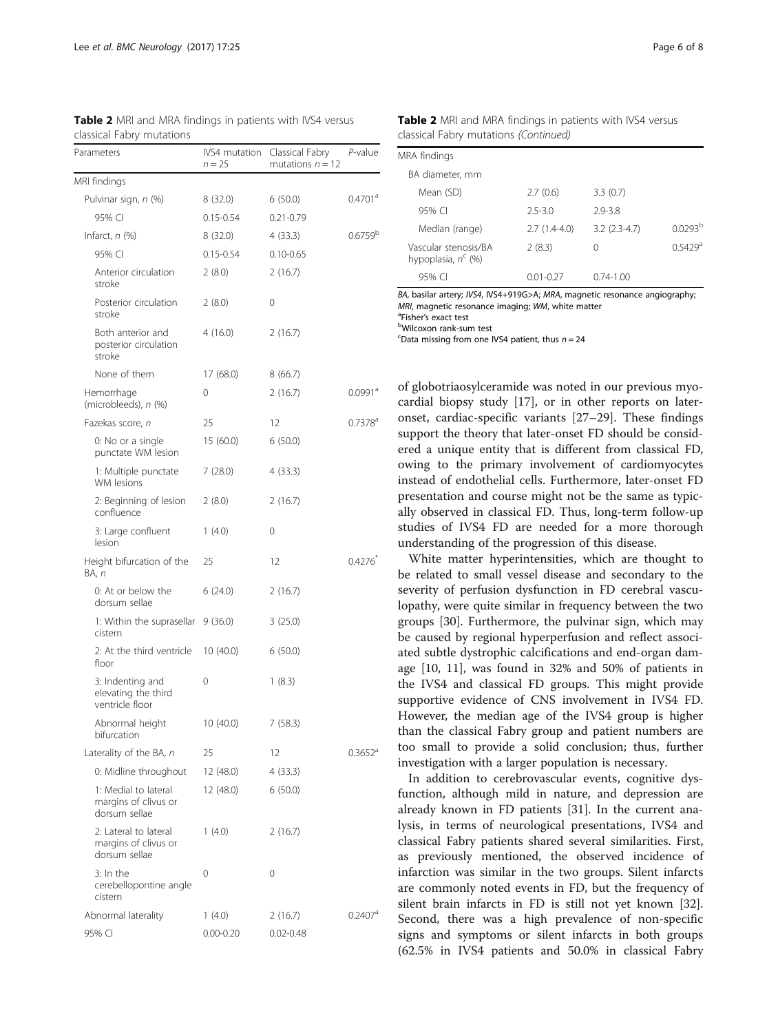| Parameters                                                     | IVS4 mutation<br>$n = 25$ | Classical Fabry<br>mutations $n = 12$ | P-value               |  |
|----------------------------------------------------------------|---------------------------|---------------------------------------|-----------------------|--|
| MRI findings                                                   |                           |                                       |                       |  |
| Pulvinar sign, n (%)                                           | 8(32.0)                   | 6(50.0)                               | $0.4701$ <sup>a</sup> |  |
| 95% CI                                                         | $0.15 - 0.54$             | $0.21 - 0.79$                         |                       |  |
| Infarct, n (%)                                                 | 8(32.0)                   | 4(33.3)                               | 0.6759 <sup>b</sup>   |  |
| 95% CI                                                         | $0.15 - 0.54$             | $0.10 - 0.65$                         |                       |  |
| Anterior circulation<br>stroke                                 | 2(8.0)                    | 2(16.7)                               |                       |  |
| Posterior circulation<br>stroke                                | 2(8.0)                    | 0                                     |                       |  |
| Both anterior and<br>posterior circulation<br>stroke           | 4(16.0)                   | 2(16.7)                               |                       |  |
| None of them                                                   | 17 (68.0)                 | 8(66.7)                               |                       |  |
| Hemorrhage<br>(microbleeds), n (%)                             | 0                         | 2(16.7)                               | $0.0991$ <sup>a</sup> |  |
| Fazekas score, n                                               | 25                        | 12                                    | $0.7378$ <sup>a</sup> |  |
| 0: No or a single<br>punctate WM lesion                        | 15 (60.0)                 | 6(50.0)                               |                       |  |
| 1: Multiple punctate<br><b>WM</b> lesions                      | 7(28.0)                   | 4(33.3)                               |                       |  |
| 2: Beginning of lesion<br>confluence                           | 2(8.0)                    | 2(16.7)                               |                       |  |
| 3: Large confluent<br>lesion                                   | 1(4.0)                    | 0                                     |                       |  |
| Height bifurcation of the<br>BA, n                             | 25                        | 12                                    | $0.4276^{\degree}$    |  |
| 0: At or below the<br>dorsum sellae                            | 6(24.0)                   | 2(16.7)                               |                       |  |
| 1: Within the suprasellar<br>cistern                           | 9(36.0)                   | 3(25.0)                               |                       |  |
| 2: At the third ventricle<br>floor                             | 10(40.0)                  | 6(50.0)                               |                       |  |
| 3: Indenting and<br>elevating the third<br>ventricle floor     | 0                         | 1(8.3)                                |                       |  |
| Abnormal height<br>bifurcation                                 | 10 (40.0)                 | 7(58.3)                               |                       |  |
| Laterality of the BA, n                                        | 25                        | 12                                    | $0.3652$ <sup>d</sup> |  |
| 0: Midline throughout                                          | 12 (48.0)                 | 4(33.3)                               |                       |  |
| 1: Medial to lateral<br>margins of clivus or<br>dorsum sellae  | 12 (48.0)                 | 6(50.0)                               |                       |  |
| 2: Lateral to lateral<br>margins of clivus or<br>dorsum sellae | 1(4.0)                    | 2(16.7)                               |                       |  |
| $3:$ In the<br>cerebellopontine angle<br>cistern               | 0                         | 0                                     |                       |  |
| Abnormal laterality                                            | 1(4.0)                    | 2(16.7)                               | $0.2407$ <sup>a</sup> |  |
| 95% CI                                                         | 0.00-0.20                 | $0.02 - 0.48$                         |                       |  |

<span id="page-5-0"></span>Table 2 MRI and MRA findings in patients with IVS4 versus classical Fabry mutations

| <b>Table 2</b> MRI and MRA findings in patients with IVS4 versus |
|------------------------------------------------------------------|
| classical Fabry mutations (Continued)                            |

| MRA findings                                  |                |                 |                       |
|-----------------------------------------------|----------------|-----------------|-----------------------|
| BA diameter, mm                               |                |                 |                       |
| Mean (SD)                                     | 2.7(0.6)       | 3.3(0.7)        |                       |
| $95\%$ CI                                     | $2.5 - 3.0$    | $2.9 - 3.8$     |                       |
| Median (range)                                | $2.7(1.4-4.0)$ | $3.2$ (2.3-4.7) | 0.0293 <sup>b</sup>   |
| Vascular stenosis/BA<br>hypoplasia, $n^c$ (%) | 2(8.3)         | 0               | $0.5429$ <sup>a</sup> |
| 95% CI                                        | 001-027        | 0 74-1 00       |                       |

BA, basilar artery; IVS4, IVS4+919G>A; MRA, magnetic resonance angiography; MRI, magnetic resonance imaging; WM, white matter

<sup>a</sup>Fisher's exact test

Wilcoxon rank-sum test

E Data missing from one IVS4 patient, thus  $n = 24$ 

of globotriaosylceramide was noted in our previous myocardial biopsy study [[17](#page-7-0)], or in other reports on lateronset, cardiac-specific variants [\[27](#page-7-0)–[29\]](#page-7-0). These findings support the theory that later-onset FD should be considered a unique entity that is different from classical FD, owing to the primary involvement of cardiomyocytes instead of endothelial cells. Furthermore, later-onset FD presentation and course might not be the same as typically observed in classical FD. Thus, long-term follow-up studies of IVS4 FD are needed for a more thorough understanding of the progression of this disease.

White matter hyperintensities, which are thought to be related to small vessel disease and secondary to the severity of perfusion dysfunction in FD cerebral vasculopathy, were quite similar in frequency between the two groups [[30](#page-7-0)]. Furthermore, the pulvinar sign, which may be caused by regional hyperperfusion and reflect associated subtle dystrophic calcifications and end-organ damage [[10](#page-7-0), [11\]](#page-7-0), was found in 32% and 50% of patients in the IVS4 and classical FD groups. This might provide supportive evidence of CNS involvement in IVS4 FD. However, the median age of the IVS4 group is higher than the classical Fabry group and patient numbers are too small to provide a solid conclusion; thus, further investigation with a larger population is necessary.

In addition to cerebrovascular events, cognitive dysfunction, although mild in nature, and depression are already known in FD patients [[31](#page-7-0)]. In the current analysis, in terms of neurological presentations, IVS4 and classical Fabry patients shared several similarities. First, as previously mentioned, the observed incidence of infarction was similar in the two groups. Silent infarcts are commonly noted events in FD, but the frequency of silent brain infarcts in FD is still not yet known [\[32](#page-7-0)]. Second, there was a high prevalence of non-specific signs and symptoms or silent infarcts in both groups (62.5% in IVS4 patients and 50.0% in classical Fabry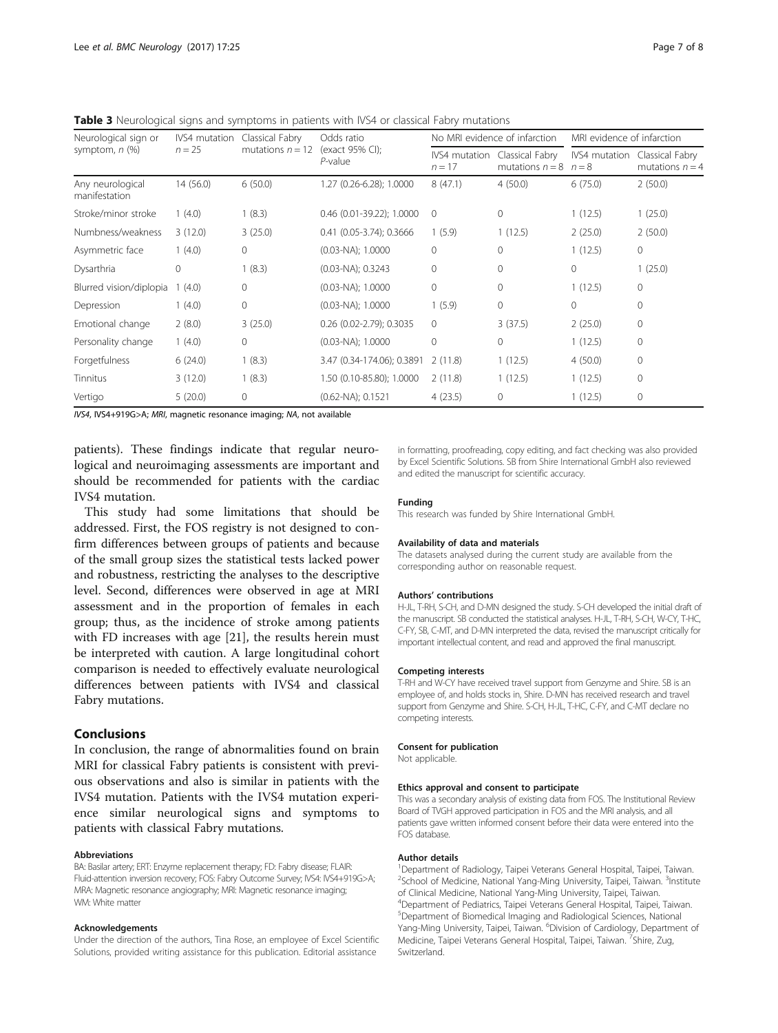<span id="page-6-0"></span>**Table 3** Neurological signs and symptoms in patients with IVS4 or classical Fabry mutations

| Neurological sign or<br>symptom, $n$ $(\%)$ | <b>IVS4</b> mutation<br>Classical Fabry<br>$n = 25$ | Odds ratio         | No MRI evidence of infarction |                           | MRI evidence of infarction           |                          |                                      |
|---------------------------------------------|-----------------------------------------------------|--------------------|-------------------------------|---------------------------|--------------------------------------|--------------------------|--------------------------------------|
|                                             |                                                     | mutations $n = 12$ | (exact 95% CI);<br>P-value    | IVS4 mutation<br>$n = 17$ | Classical Fabry<br>mutations $n = 8$ | IVS4 mutation<br>$n = 8$ | Classical Fabry<br>mutations $n = 4$ |
| Any neurological<br>manifestation           | 14 (56.0)                                           | 6(50.0)            | 1.27 (0.26-6.28); 1.0000      | 8(47.1)                   | 4(50.0)                              | 6(75.0)                  | 2(50.0)                              |
| Stroke/minor stroke                         | 1(4.0)                                              | 1(8.3)             | 0.46 (0.01-39.22); 1.0000     | $\Omega$                  | $\Omega$                             | 1(12.5)                  | 1(25.0)                              |
| Numbness/weakness                           | 3(12.0)                                             | 3(25.0)            | $0.41$ (0.05-3.74); 0.3666    | 1(5.9)                    | 1(12.5)                              | 2(25.0)                  | 2(50.0)                              |
| Asymmetric face                             | (4.0)                                               | $\mathbf{0}$       | $(0.03-NA); 1.0000$           | $\Omega$                  | $\Omega$                             | 1(12.5)                  | $\mathbf{0}$                         |
| Dysarthria                                  | 0                                                   | 1(8.3)             | $(0.03-NA); 0.3243$           | $\Omega$                  | $\Omega$                             | $\mathbf{0}$             | 1(25.0)                              |
| Blurred vision/diplopia                     | (4.0)                                               | $\mathbf{0}$       | $(0.03-NA); 1.0000$           | $\Omega$                  | $\Omega$                             | 1(12.5)                  | $\mathbf{0}$                         |
| Depression                                  | 1(4.0)                                              | $\mathbf{0}$       | $(0.03-NA); 1.0000$           | 1(5.9)                    | $\Omega$                             | $\Omega$                 | $\Omega$                             |
| Emotional change                            | 2(8.0)                                              | 3(25.0)            | $0.26$ (0.02-2.79); 0.3035    | $\Omega$                  | 3(37.5)                              | 2(25.0)                  | $\mathbf{0}$                         |
| Personality change                          | 1(4.0)                                              | $\mathbf{0}$       | $(0.03-NA); 1.0000$           | $\Omega$                  | $\mathbf{0}$                         | 1(12.5)                  | $\mathbf{0}$                         |
| Forgetfulness                               | 6(24.0)                                             | 1(8.3)             | 3.47 (0.34-174.06); 0.3891    | 2(11.8)                   | 1(12.5)                              | 4(50.0)                  | $\mathbf{0}$                         |
| Tinnitus                                    | 3(12.0)                                             | 1(8.3)             | 1.50 (0.10-85.80); 1.0000     | 2(11.8)                   | 1(12.5)                              | 1(12.5)                  | $\Omega$                             |
| Vertigo                                     | 5(20.0)                                             | $\mathbf 0$        | $(0.62-NA); 0.1521$           | 4(23.5)                   | $\mathbf 0$                          | 1(12.5)                  | $\mathbf{0}$                         |

IVS4, IVS4+919G>A; MRI, magnetic resonance imaging; NA, not available

patients). These findings indicate that regular neurological and neuroimaging assessments are important and should be recommended for patients with the cardiac IVS4 mutation.

This study had some limitations that should be addressed. First, the FOS registry is not designed to confirm differences between groups of patients and because of the small group sizes the statistical tests lacked power and robustness, restricting the analyses to the descriptive level. Second, differences were observed in age at MRI assessment and in the proportion of females in each group; thus, as the incidence of stroke among patients with FD increases with age [[21](#page-7-0)], the results herein must be interpreted with caution. A large longitudinal cohort comparison is needed to effectively evaluate neurological differences between patients with IVS4 and classical Fabry mutations.

## Conclusions

In conclusion, the range of abnormalities found on brain MRI for classical Fabry patients is consistent with previous observations and also is similar in patients with the IVS4 mutation. Patients with the IVS4 mutation experience similar neurological signs and symptoms to patients with classical Fabry mutations.

#### Abbreviations

BA: Basilar artery; ERT: Enzyme replacement therapy; FD: Fabry disease; FLAIR: Fluid-attention inversion recovery; FOS: Fabry Outcome Survey; IVS4: IVS4+919G>A; MRA: Magnetic resonance angiography; MRI: Magnetic resonance imaging; WM: White matter

#### Acknowledgements

Under the direction of the authors, Tina Rose, an employee of Excel Scientific Solutions, provided writing assistance for this publication. Editorial assistance

in formatting, proofreading, copy editing, and fact checking was also provided by Excel Scientific Solutions. SB from Shire International GmbH also reviewed and edited the manuscript for scientific accuracy.

#### Funding

This research was funded by Shire International GmbH.

#### Availability of data and materials

The datasets analysed during the current study are available from the corresponding author on reasonable request.

#### Authors' contributions

H-JL, T-RH, S-CH, and D-MN designed the study. S-CH developed the initial draft of the manuscript. SB conducted the statistical analyses. H-JL, T-RH, S-CH, W-CY, T-HC, C-FY, SB, C-MT, and D-MN interpreted the data, revised the manuscript critically for important intellectual content, and read and approved the final manuscript.

#### Competing interests

T-RH and W-CY have received travel support from Genzyme and Shire. SB is an employee of, and holds stocks in, Shire. D-MN has received research and travel support from Genzyme and Shire. S-CH, H-JL, T-HC, C-FY, and C-MT declare no competing interests.

#### Consent for publication

Not applicable.

#### Ethics approval and consent to participate

This was a secondary analysis of existing data from FOS. The Institutional Review Board of TVGH approved participation in FOS and the MRI analysis, and all patients gave written informed consent before their data were entered into the FOS database.

#### Author details

<sup>1</sup> Department of Radiology, Taipei Veterans General Hospital, Taipei, Taiwan. <sup>2</sup>School of Medicine, National Yang-Ming University, Taipei, Taiwan. <sup>3</sup>Institute of Clinical Medicine, National Yang-Ming University, Taipei, Taiwan. 4 Department of Pediatrics, Taipei Veterans General Hospital, Taipei, Taiwan. 5 Department of Biomedical Imaging and Radiological Sciences, National Yang-Ming University, Taipei, Taiwan. <sup>6</sup> Division of Cardiology, Department of Medicine, Taipei Veterans General Hospital, Taipei, Taiwan. <sup>7</sup>Shire, Zug Switzerland.